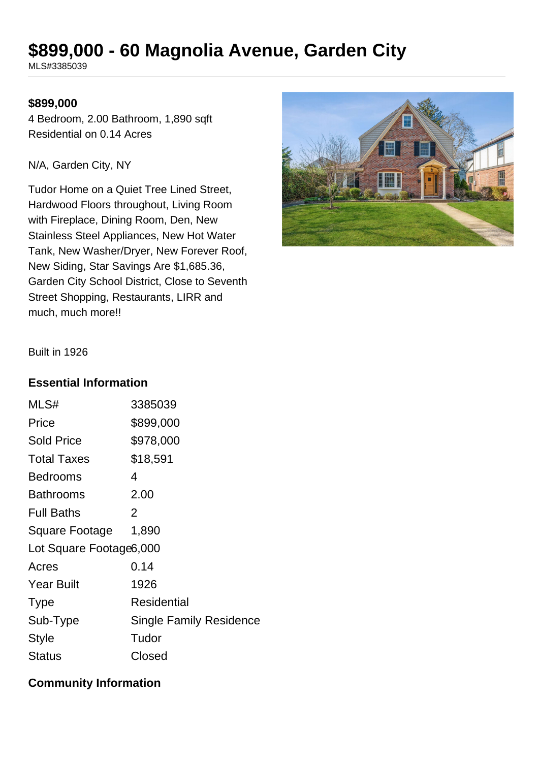# **\$899,000 - 60 Magnolia Avenue, Garden City**

MLS#3385039

#### **\$899,000**

4 Bedroom, 2.00 Bathroom, 1,890 sqft Residential on 0.14 Acres

N/A, Garden City, NY

Tudor Home on a Quiet Tree Lined Street, Hardwood Floors throughout, Living Room with Fireplace, Dining Room, Den, New Stainless Steel Appliances, New Hot Water Tank, New Washer/Dryer, New Forever Roof, New Siding, Star Savings Are \$1,685.36, Garden City School District, Close to Seventh Street Shopping, Restaurants, LIRR and much, much more!!



Built in 1926

#### **Essential Information**

| MLS#                    | 3385039                        |  |
|-------------------------|--------------------------------|--|
| Price                   | \$899,000                      |  |
| <b>Sold Price</b>       | \$978,000                      |  |
| <b>Total Taxes</b>      | \$18,591                       |  |
| <b>Bedrooms</b>         | 4                              |  |
| Bathrooms               | 2.00                           |  |
| <b>Full Baths</b>       | 2                              |  |
| Square Footage          | 1,890                          |  |
| Lot Square Footage6,000 |                                |  |
| Acres                   | 0.14                           |  |
| <b>Year Built</b>       | 1926                           |  |
| <b>Type</b>             | <b>Residential</b>             |  |
| Sub-Type                | <b>Single Family Residence</b> |  |
| <b>Style</b>            | Tudor                          |  |
| Status                  | Closed                         |  |

### **Community Information**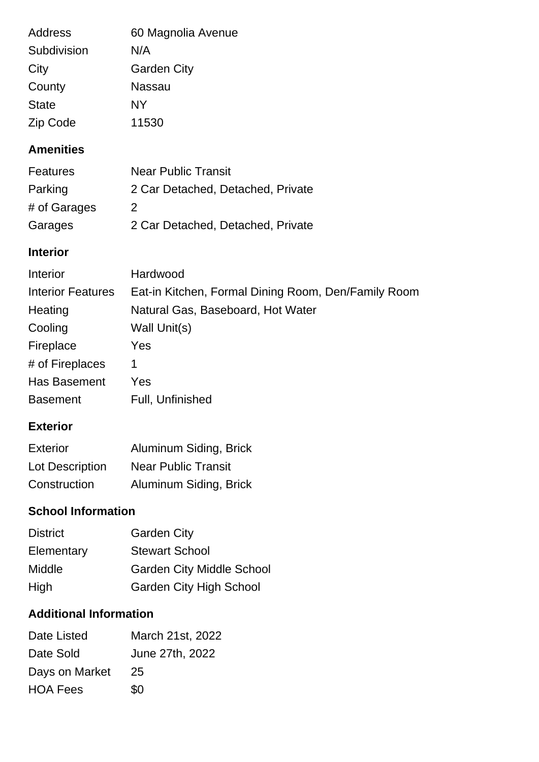| Address      | 60 Magnolia Avenue |
|--------------|--------------------|
| Subdivision  | N/A                |
| City         | <b>Garden City</b> |
| County       | Nassau             |
| <b>State</b> | NΥ                 |
| Zip Code     | 11530              |

## **Amenities**

| <b>Features</b> | <b>Near Public Transit</b>        |
|-----------------|-----------------------------------|
| Parking         | 2 Car Detached, Detached, Private |
| # of Garages    | 2                                 |
| Garages         | 2 Car Detached, Detached, Private |

### **Interior**

| Interior                 | Hardwood                                            |
|--------------------------|-----------------------------------------------------|
| <b>Interior Features</b> | Eat-in Kitchen, Formal Dining Room, Den/Family Room |
| Heating                  | Natural Gas, Baseboard, Hot Water                   |
| Cooling                  | Wall Unit(s)                                        |
| Fireplace                | Yes                                                 |
| # of Fireplaces          | 1                                                   |
| Has Basement             | Yes                                                 |
| <b>Basement</b>          | Full, Unfinished                                    |

## **Exterior**

| Exterior               | Aluminum Siding, Brick     |
|------------------------|----------------------------|
| <b>Lot Description</b> | <b>Near Public Transit</b> |
| Construction           | Aluminum Siding, Brick     |

# **School Information**

| <b>District</b> | <b>Garden City</b>               |
|-----------------|----------------------------------|
| Elementary      | <b>Stewart School</b>            |
| Middle          | <b>Garden City Middle School</b> |
| High            | <b>Garden City High School</b>   |

# **Additional Information**

| Date Listed     | March 21st, 2022 |
|-----------------|------------------|
| Date Sold       | June 27th, 2022  |
| Days on Market  | 25               |
| <b>HOA Fees</b> | \$0              |